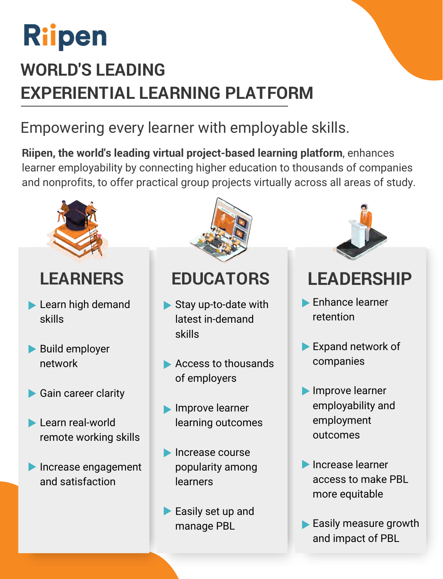## Riipen

## **WORLD'S LEADING EXPERIENTIAL LEARNING PLATFORM**

### Empowering every learner with employable skills.

**Riipen, the world's leading virtual project-based learning platform**, enhances learner employability by connecting higher education to thousands of companies and nonprofits, to offer practical group projects virtually across all areas of study.



- Learn high demand skills
- **Build employer** network
- Gain career clarity
- **Learn real-world** remote working skills
- **Increase engagement** and satisfaction



- Stay up-to-date with latest in-demand skills
- Access to thousands of employers
- **Improve learner** learning outcomes
- **Increase course** popularity among learners
- Easily set up and manage PBL



### **LEARNERS EDUCATORS LEADERSHIP**

- Enhance learner retention
- Expand network of companies
- **Improve learner** employability and employment outcomes
- **Increase learner** access to make PBL more equitable
- Easily measure growth and impact of PBL